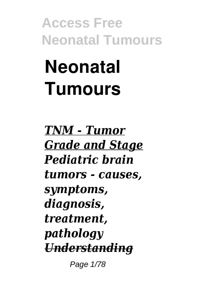## **Neonatal Tumours**

*TNM - Tumor Grade and Stage Pediatric brain tumors - causes, symptoms, diagnosis, treatment, pathology Understanding*

Page 1/78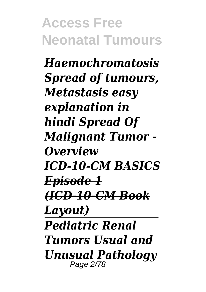*Haemochromatosis Spread of tumours, Metastasis easy explanation in hindi Spread Of Malignant Tumor - Overview ICD-10-CM BASICS Episode 1 (ICD-10-CM Book Layout) Pediatric Renal Tumors Usual and Unusual Pathology* Page 2/78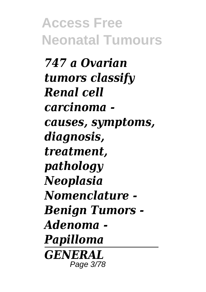*747 a Ovarian tumors classify Renal cell carcinoma causes, symptoms, diagnosis, treatment, pathology Neoplasia Nomenclature - Benign Tumors - Adenoma - Papilloma GENERAL* Page 3/78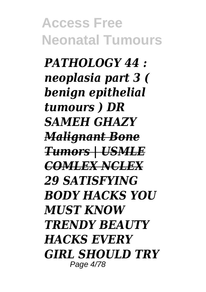*PATHOLOGY 44 : neoplasia part 3 ( benign epithelial tumours ) DR SAMEH GHAZY Malignant Bone Tumors | USMLE COMLEX NCLEX 29 SATISFYING BODY HACKS YOU MUST KNOW TRENDY BEAUTY HACKS EVERY GIRL SHOULD TRY* Page 4/78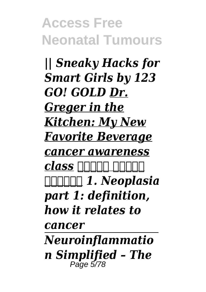*|| Sneaky Hacks for Smart Girls by 123 GO! GOLD Dr. Greger in the Kitchen: My New Favorite Beverage cancer awareness ناطرس لحارم class Neoplasia 1. غامدلا part 1: definition, how it relates to cancer Neuroinflammatio n Simplified – The* Page 5/78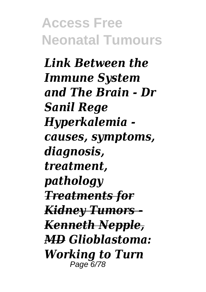*Link Between the Immune System and The Brain - Dr Sanil Rege Hyperkalemia causes, symptoms, diagnosis, treatment, pathology Treatments for Kidney Tumors - Kenneth Nepple, MD Glioblastoma: Working to Turn* Page 6/78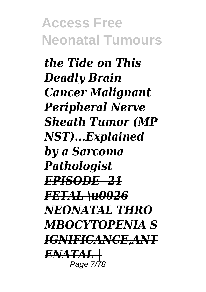*the Tide on This Deadly Brain Cancer Malignant Peripheral Nerve Sheath Tumor (MP NST)...Explained by a Sarcoma Pathologist EPISODE -21 FETAL \u0026 NEONATAL THRO MBOCYTOPENIA S IGNIFICANCE,ANT ENATAL |* Page 7/78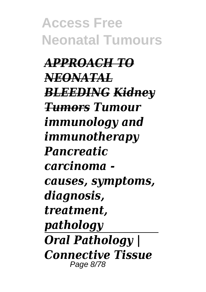*APPROACH TO NEONATAL BLEEDING Kidney Tumors Tumour immunology and immunotherapy Pancreatic carcinoma causes, symptoms, diagnosis, treatment, pathology Oral Pathology | Connective Tissue* Page 8/78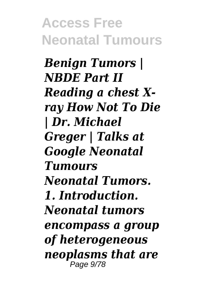*Benign Tumors | NBDE Part II Reading a chest Xray How Not To Die | Dr. Michael Greger | Talks at Google Neonatal Tumours Neonatal Tumors. 1. Introduction. Neonatal tumors encompass a group of heterogeneous neoplasms that are* Page 9/78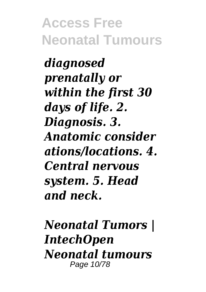*diagnosed prenatally or within the first 30 days of life. 2. Diagnosis. 3. Anatomic consider ations/locations. 4. Central nervous system. 5. Head and neck.*

*Neonatal Tumors | IntechOpen Neonatal tumours* Page 10/78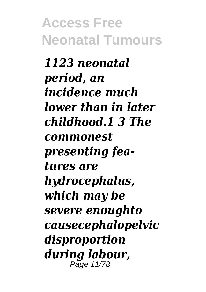*1123 neonatal period, an incidence much lower than in later childhood.1 3 The commonest presenting features are hydrocephalus, which may be severe enoughto causecephalopelvic disproportion during labour,* Page 11/78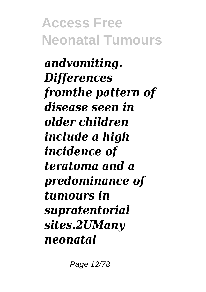*andvomiting. Differences fromthe pattern of disease seen in older children include a high incidence of teratoma and a predominance of tumours in supratentorial sites.2UMany neonatal*

Page 12/78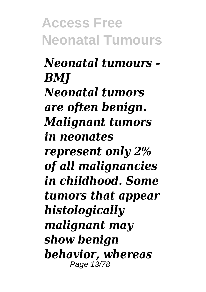*Neonatal tumours - BMJ Neonatal tumors are often benign. Malignant tumors in neonates represent only 2% of all malignancies in childhood. Some tumors that appear histologically malignant may show benign behavior, whereas* Page 13/78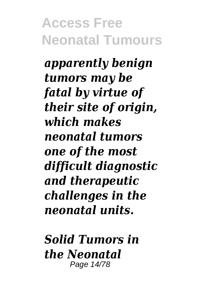*apparently benign tumors may be fatal by virtue of their site of origin, which makes neonatal tumors one of the most difficult diagnostic and therapeutic challenges in the neonatal units.*

*Solid Tumors in the Neonatal* Page 14/78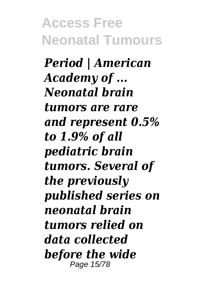*Period | American Academy of ... Neonatal brain tumors are rare and represent 0.5% to 1.9% of all pediatric brain tumors. Several of the previously published series on neonatal brain tumors relied on data collected before the wide* Page 15/78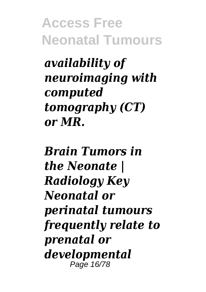*availability of neuroimaging with computed tomography (CT) or MR.*

*Brain Tumors in the Neonate | Radiology Key Neonatal or perinatal tumours frequently relate to prenatal or developmental* Page 16/78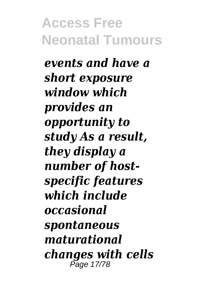*events and have a short exposure window which provides an opportunity to study As a result, they display a number of hostspecific features which include occasional spontaneous maturational changes with cells* Page 17/78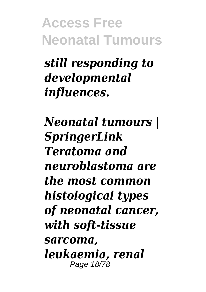*still responding to developmental influences.*

*Neonatal tumours | SpringerLink Teratoma and neuroblastoma are the most common histological types of neonatal cancer, with soft-tissue sarcoma, leukaemia, renal* Page 18/78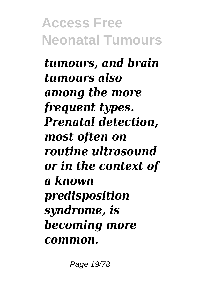*tumours, and brain tumours also among the more frequent types. Prenatal detection, most often on routine ultrasound or in the context of a known predisposition syndrome, is becoming more common.*

Page 19/78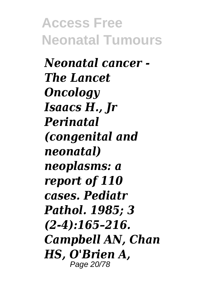*Neonatal cancer - The Lancet Oncology Isaacs H., Jr Perinatal (congenital and neonatal) neoplasms: a report of 110 cases. Pediatr Pathol. 1985; 3 (2-4):165–216. Campbell AN, Chan HS, O'Brien A,* Page 20/78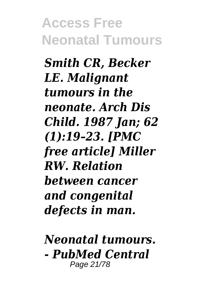*Smith CR, Becker LE. Malignant tumours in the neonate. Arch Dis Child. 1987 Jan; 62 (1):19–23. [PMC free article] Miller RW. Relation between cancer and congenital defects in man.*

*Neonatal tumours. - PubMed Central* Page 21/78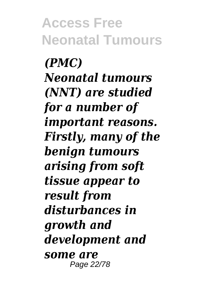*(PMC) Neonatal tumours (NNT) are studied for a number of important reasons. Firstly, many of the benign tumours arising from soft tissue appear to result from disturbances in growth and development and some are* Page 22/78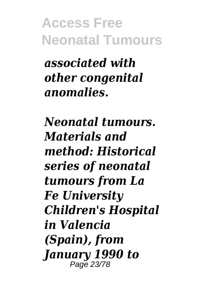*associated with other congenital anomalies.*

*Neonatal tumours. Materials and method: Historical series of neonatal tumours from La Fe University Children's Hospital in Valencia (Spain), from January 1990 to* Page 23/78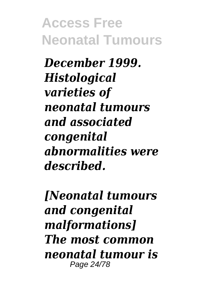*December 1999. Histological varieties of neonatal tumours and associated congenital abnormalities were described.*

*[Neonatal tumours and congenital malformations] The most common neonatal tumour is* Page 24/78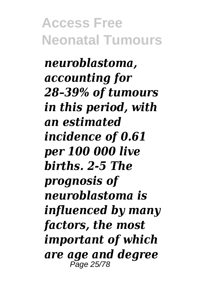*neuroblastoma, accounting for 28–39% of tumours in this period, with an estimated incidence of 0.61 per 100 000 live births. 2-5 The prognosis of neuroblastoma is influenced by many factors, the most important of which are age and degree* Page 25/78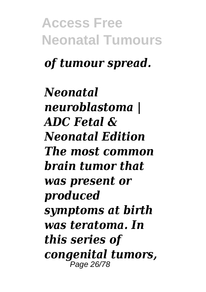## *of tumour spread.*

*Neonatal neuroblastoma | ADC Fetal & Neonatal Edition The most common brain tumor that was present or produced symptoms at birth was teratoma. In this series of congenital tumors,* Page 26/78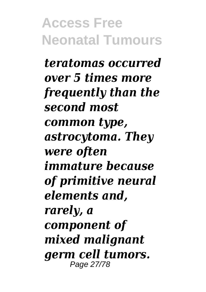*teratomas occurred over 5 times more frequently than the second most common type, astrocytoma. They were often immature because of primitive neural elements and, rarely, a component of mixed malignant germ cell tumors.* Page 27/78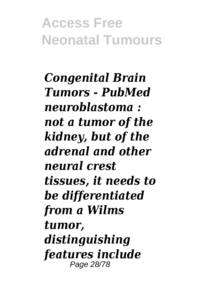*Congenital Brain Tumors - PubMed neuroblastoma : not a tumor of the kidney, but of the adrenal and other neural crest tissues, it needs to be differentiated from a Wilms tumor, distinguishing features include* Page 28/78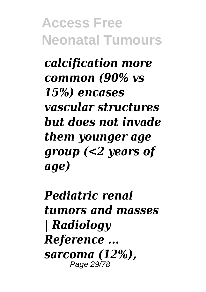*calcification more common (90% vs 15%) encases vascular structures but does not invade them younger age group (<2 years of age)*

*Pediatric renal tumors and masses | Radiology Reference ... sarcoma (12%),* Page 29/78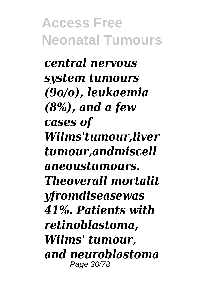*central nervous system tumours (9o/o), leukaemia (8%), and a few cases of Wilms'tumour,liver tumour,andmiscell aneoustumours. Theoverall mortalit yfromdiseasewas 41%. Patients with retinoblastoma, Wilms' tumour, and neuroblastoma* Page 30/78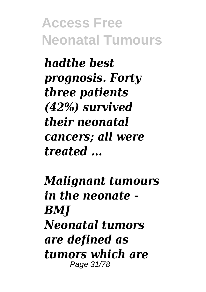*hadthe best prognosis. Forty three patients (42%) survived their neonatal cancers; all were treated ...*

*Malignant tumours in the neonate - BMJ Neonatal tumors are defined as tumors which are* Page 31/78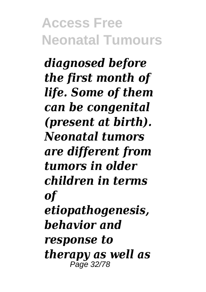*diagnosed before the first month of life. Some of them can be congenital (present at birth). Neonatal tumors are different from tumors in older children in terms of etiopathogenesis, behavior and response to therapy as well as* Page 32/78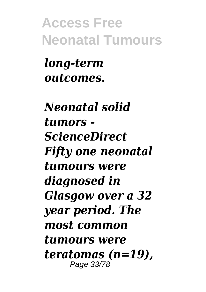*long-term outcomes.*

*Neonatal solid tumors - ScienceDirect Fifty one neonatal tumours were diagnosed in Glasgow over a 32 year period. The most common tumours were teratomas (n=19),* Page 33/78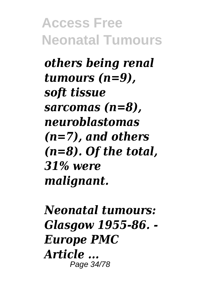*others being renal tumours (n=9), soft tissue sarcomas (n=8), neuroblastomas (n=7), and others (n=8). Of the total, 31% were malignant.*

*Neonatal tumours: Glasgow 1955-86. - Europe PMC Article ...* Page 34/78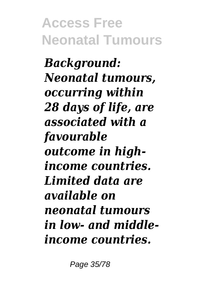*Background: Neonatal tumours, occurring within 28 days of life, are associated with a favourable outcome in highincome countries. Limited data are available on neonatal tumours in low- and middleincome countries.*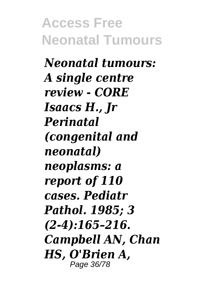*Neonatal tumours: A single centre review - CORE Isaacs H., Jr Perinatal (congenital and neonatal) neoplasms: a report of 110 cases. Pediatr Pathol. 1985; 3 (2-4):165–216. Campbell AN, Chan HS, O'Brien A,* Page 36/78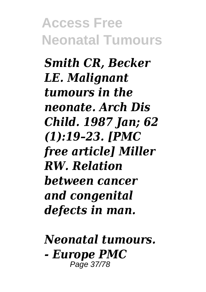*Smith CR, Becker LE. Malignant tumours in the neonate. Arch Dis Child. 1987 Jan; 62 (1):19–23. [PMC free article] Miller RW. Relation between cancer and congenital defects in man.*

*Neonatal tumours. - Europe PMC* Page 37/78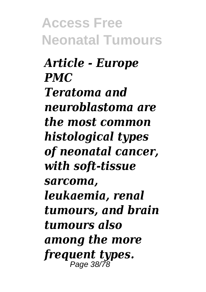*Article - Europe PMC Teratoma and neuroblastoma are the most common histological types of neonatal cancer, with soft-tissue sarcoma, leukaemia, renal tumours, and brain tumours also among the more frequent types.* Page 38/78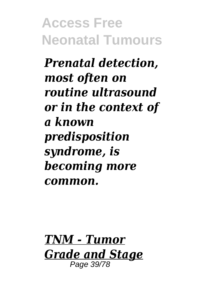*Prenatal detection, most often on routine ultrasound or in the context of a known predisposition syndrome, is becoming more common.*

*TNM - Tumor Grade and Stage* Page 39/78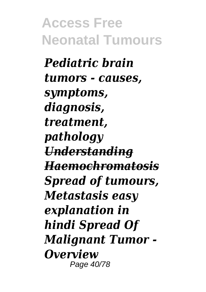*Pediatric brain tumors - causes, symptoms, diagnosis, treatment, pathology Understanding Haemochromatosis Spread of tumours, Metastasis easy explanation in hindi Spread Of Malignant Tumor - Overview* Page 40/78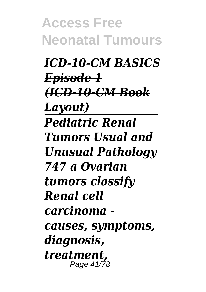*ICD-10-CM BASICS Episode 1 (ICD-10-CM Book Layout) Pediatric Renal Tumors Usual and Unusual Pathology 747 a Ovarian tumors classify Renal cell carcinoma causes, symptoms, diagnosis, treatment,* Page 41/78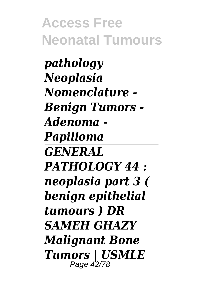*pathology Neoplasia Nomenclature - Benign Tumors - Adenoma - Papilloma GENERAL PATHOLOGY 44 : neoplasia part 3 ( benign epithelial tumours ) DR SAMEH GHAZY Malignant Bone Tumors | USMLE* Page 42/78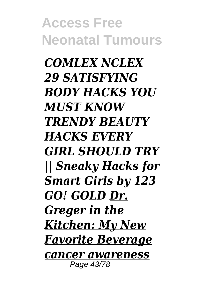*COMLEX NCLEX 29 SATISFYING BODY HACKS YOU MUST KNOW TRENDY BEAUTY HACKS EVERY GIRL SHOULD TRY || Sneaky Hacks for Smart Girls by 123 GO! GOLD Dr. Greger in the Kitchen: My New Favorite Beverage cancer awareness* Page 43/78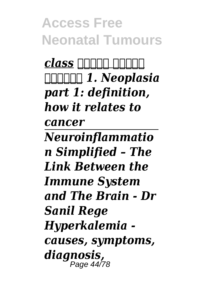*ناطرس لحارم class Neoplasia 1. غامدلا part 1: definition, how it relates to cancer Neuroinflammatio n Simplified – The Link Between the Immune System and The Brain - Dr Sanil Rege Hyperkalemia causes, symptoms, diagnosis,* Page 44/78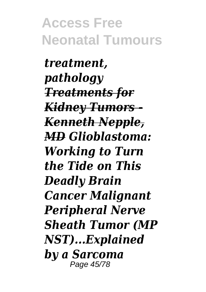*treatment, pathology Treatments for Kidney Tumors - Kenneth Nepple, MD Glioblastoma: Working to Turn the Tide on This Deadly Brain Cancer Malignant Peripheral Nerve Sheath Tumor (MP NST)...Explained by a Sarcoma* Page 45/78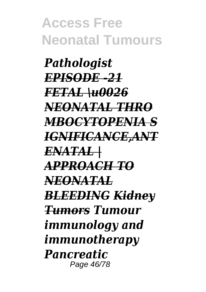*Pathologist EPISODE -21 FETAL \u0026 NEONATAL THRO MBOCYTOPENIA S IGNIFICANCE,ANT ENATAL | APPROACH TO NEONATAL BLEEDING Kidney Tumors Tumour immunology and immunotherapy Pancreatic* Page 46/78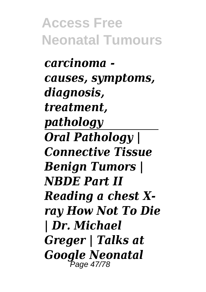*carcinoma causes, symptoms, diagnosis, treatment, pathology Oral Pathology | Connective Tissue Benign Tumors | NBDE Part II Reading a chest Xray How Not To Die | Dr. Michael Greger | Talks at Google Neonatal* Page 47/78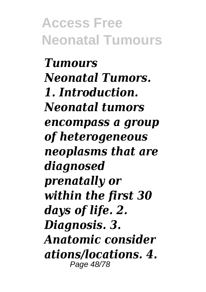*Tumours Neonatal Tumors. 1. Introduction. Neonatal tumors encompass a group of heterogeneous neoplasms that are diagnosed prenatally or within the first 30 days of life. 2. Diagnosis. 3. Anatomic consider ations/locations. 4.* Page 48/78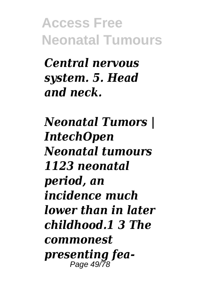*Central nervous system. 5. Head and neck.*

*Neonatal Tumors | IntechOpen Neonatal tumours 1123 neonatal period, an incidence much lower than in later childhood.1 3 The commonest presenting fea-*Page 49/78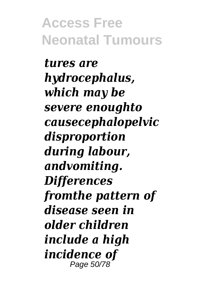*tures are hydrocephalus, which may be severe enoughto causecephalopelvic disproportion during labour, andvomiting. Differences fromthe pattern of disease seen in older children include a high incidence of* Page 50/78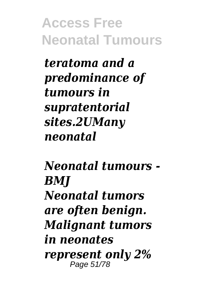*teratoma and a predominance of tumours in supratentorial sites.2UMany neonatal*

*Neonatal tumours - BMJ Neonatal tumors are often benign. Malignant tumors in neonates represent only 2%* Page 51/78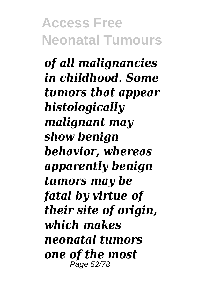*of all malignancies in childhood. Some tumors that appear histologically malignant may show benign behavior, whereas apparently benign tumors may be fatal by virtue of their site of origin, which makes neonatal tumors one of the most* Page 52/78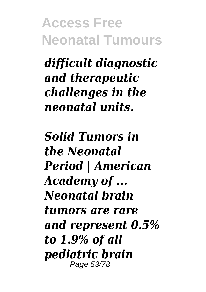*difficult diagnostic and therapeutic challenges in the neonatal units.*

*Solid Tumors in the Neonatal Period | American Academy of ... Neonatal brain tumors are rare and represent 0.5% to 1.9% of all pediatric brain* Page 53/78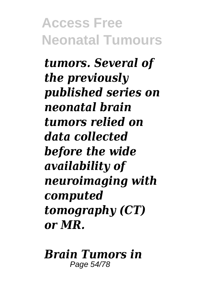*tumors. Several of the previously published series on neonatal brain tumors relied on data collected before the wide availability of neuroimaging with computed tomography (CT) or MR.*

*Brain Tumors in* Page 54/78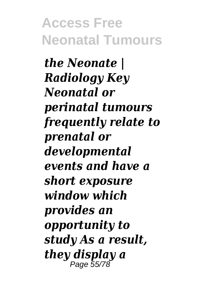*the Neonate | Radiology Key Neonatal or perinatal tumours frequently relate to prenatal or developmental events and have a short exposure window which provides an opportunity to study As a result, they display a* Page 55/78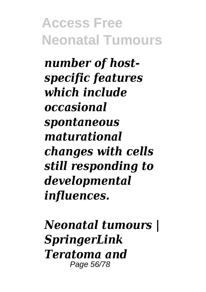*number of hostspecific features which include occasional spontaneous maturational changes with cells still responding to developmental influences.*

*Neonatal tumours | SpringerLink Teratoma and* Page 56/78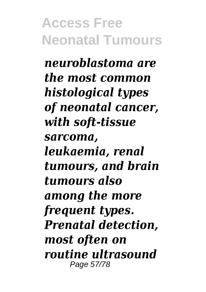*neuroblastoma are the most common histological types of neonatal cancer, with soft-tissue sarcoma, leukaemia, renal tumours, and brain tumours also among the more frequent types. Prenatal detection, most often on routine ultrasound* Page 57/78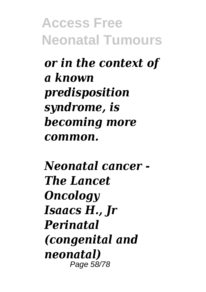*or in the context of a known predisposition syndrome, is becoming more common.*

*Neonatal cancer - The Lancet Oncology Isaacs H., Jr Perinatal (congenital and neonatal)* Page 58/78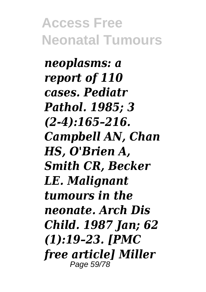*neoplasms: a report of 110 cases. Pediatr Pathol. 1985; 3 (2-4):165–216. Campbell AN, Chan HS, O'Brien A, Smith CR, Becker LE. Malignant tumours in the neonate. Arch Dis Child. 1987 Jan; 62 (1):19–23. [PMC free article] Miller* Page 59/78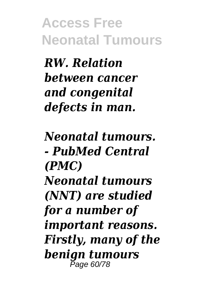*RW. Relation between cancer and congenital defects in man.*

*Neonatal tumours. - PubMed Central (PMC) Neonatal tumours (NNT) are studied for a number of important reasons. Firstly, many of the benign tumours* Page 60/78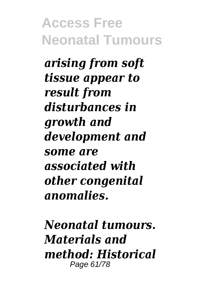*arising from soft tissue appear to result from disturbances in growth and development and some are associated with other congenital anomalies.*

*Neonatal tumours. Materials and method: Historical* Page 61/78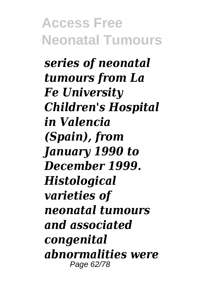*series of neonatal tumours from La Fe University Children's Hospital in Valencia (Spain), from January 1990 to December 1999. Histological varieties of neonatal tumours and associated congenital abnormalities were* Page 62/78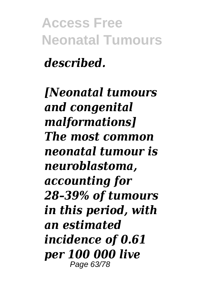*described.*

*[Neonatal tumours and congenital malformations] The most common neonatal tumour is neuroblastoma, accounting for 28–39% of tumours in this period, with an estimated incidence of 0.61 per 100 000 live* Page 63/78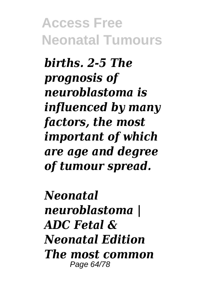*births. 2-5 The prognosis of neuroblastoma is influenced by many factors, the most important of which are age and degree of tumour spread.*

*Neonatal neuroblastoma | ADC Fetal & Neonatal Edition The most common* Page 64/78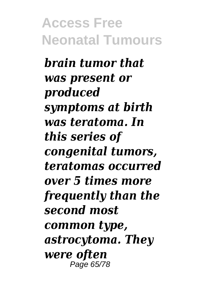*brain tumor that was present or produced symptoms at birth was teratoma. In this series of congenital tumors, teratomas occurred over 5 times more frequently than the second most common type, astrocytoma. They were often* Page 65/78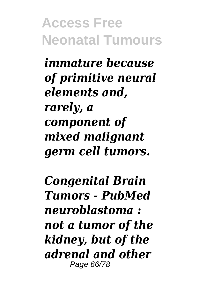*immature because of primitive neural elements and, rarely, a component of mixed malignant germ cell tumors.*

*Congenital Brain Tumors - PubMed neuroblastoma : not a tumor of the kidney, but of the adrenal and other* Page 66/78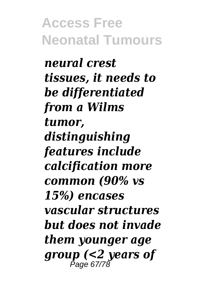*neural crest tissues, it needs to be differentiated from a Wilms tumor, distinguishing features include calcification more common (90% vs 15%) encases vascular structures but does not invade them younger age group (<2 years of* Page 67/78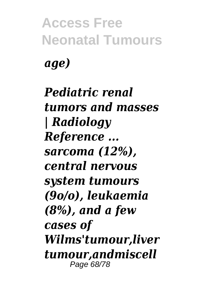*Pediatric renal tumors and masses | Radiology Reference ... sarcoma (12%), central nervous system tumours (9o/o), leukaemia (8%), and a few cases of Wilms'tumour,liver tumour,andmiscell* Page 68/78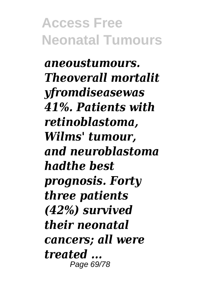*aneoustumours. Theoverall mortalit yfromdiseasewas 41%. Patients with retinoblastoma, Wilms' tumour, and neuroblastoma hadthe best prognosis. Forty three patients (42%) survived their neonatal cancers; all were treated ...* Page 69/78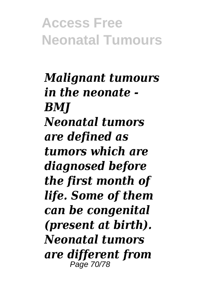*Malignant tumours in the neonate - BMJ Neonatal tumors are defined as tumors which are diagnosed before the first month of life. Some of them can be congenital (present at birth). Neonatal tumors are different from* Page 70/78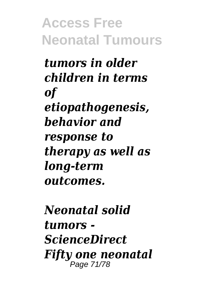*tumors in older children in terms of etiopathogenesis, behavior and response to therapy as well as long-term outcomes.*

*Neonatal solid tumors - ScienceDirect Fifty one neonatal* Page 71/78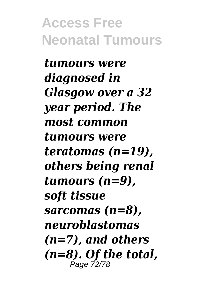*tumours were diagnosed in Glasgow over a 32 year period. The most common tumours were teratomas (n=19), others being renal tumours (n=9), soft tissue sarcomas (n=8), neuroblastomas (n=7), and others (n=8). Of the total,* Page 72/78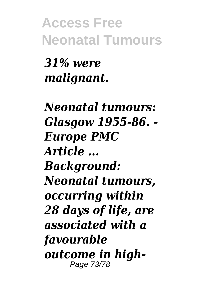*31% were malignant.*

*Neonatal tumours: Glasgow 1955-86. - Europe PMC Article ... Background: Neonatal tumours, occurring within 28 days of life, are associated with a favourable outcome in high-*Page 73/78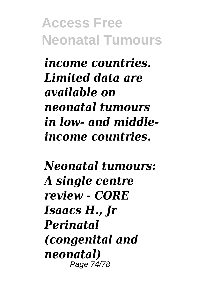*income countries. Limited data are available on neonatal tumours in low- and middleincome countries.*

*Neonatal tumours: A single centre review - CORE Isaacs H., Jr Perinatal (congenital and neonatal)* Page 74/78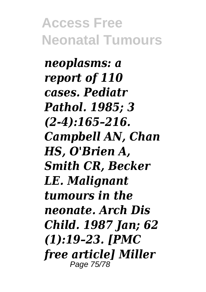*neoplasms: a report of 110 cases. Pediatr Pathol. 1985; 3 (2-4):165–216. Campbell AN, Chan HS, O'Brien A, Smith CR, Becker LE. Malignant tumours in the neonate. Arch Dis Child. 1987 Jan; 62 (1):19–23. [PMC free article] Miller* Page 75/78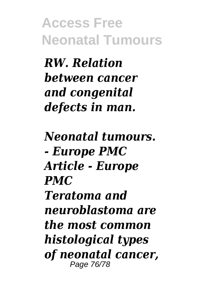*RW. Relation between cancer and congenital defects in man.*

*Neonatal tumours. - Europe PMC Article - Europe PMC Teratoma and neuroblastoma are the most common histological types of neonatal cancer,* Page 76/78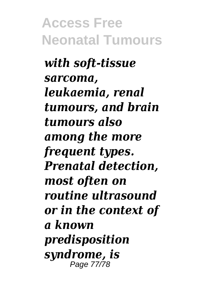*with soft-tissue sarcoma, leukaemia, renal tumours, and brain tumours also among the more frequent types. Prenatal detection, most often on routine ultrasound or in the context of a known predisposition syndrome, is* Page 77/78